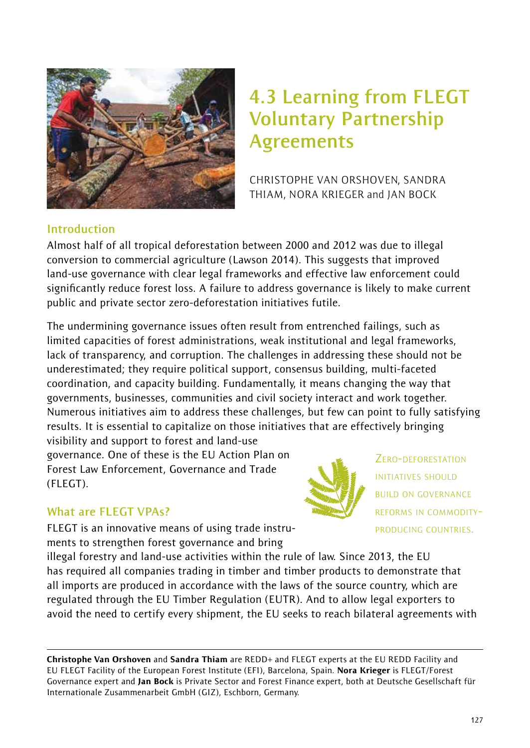

# **4.3 Learning from FLEGT Voluntary Partnership Agreements**

CHRISTOPHE VAN ORSHOVEN, SANDRA THIAM, NORA KRIEGER and JAN BOCK

#### **Introduction**

Almost half of all tropical deforestation between 2000 and 2012 was due to illegal conversion to commercial agriculture (Lawson 2014). This suggests that improved land-use governance with clear legal frameworks and effective law enforcement could significantly reduce forest loss. A failure to address governance is likely to make current public and private sector zero-deforestation initiatives futile.

The undermining governance issues often result from entrenched failings, such as limited capacities of forest administrations, weak institutional and legal frameworks, lack of transparency, and corruption. The challenges in addressing these should not be underestimated; they require political support, consensus building, multi-faceted coordination, and capacity building. Fundamentally, it means changing the way that governments, businesses, communities and civil society interact and work together. Numerous initiatives aim to address these challenges, but few can point to fully satisfying results. It is essential to capitalize on those initiatives that are effectively bringing visibility and support to forest and land-use

governance. One of these is the EU Action Plan on Forest Law Enforcement, Governance and Trade (FLEGT).

ZERO-DEFORESTATION INITIATIVES SHOULD BUILD ON GOVERNANCE REFORMS IN COMMODITY-PRODUCING COUNTRIES.

#### **What are FLEGT VPAs?**

FLEGT is an innovative means of using trade instruments to strengthen forest governance and bring

illegal forestry and land-use activities within the rule of law. Since 2013, the EU has required all companies trading in timber and timber products to demonstrate that all imports are produced in accordance with the laws of the source country, which are regulated through the EU Timber Regulation (EUTR). And to allow legal exporters to avoid the need to certify every shipment, the EU seeks to reach bilateral agreements with

Christophe Van Orshoven and Sandra Thiam are REDD+ and FLEGT experts at the EU REDD Facility and EU FLEGT Facility of the European Forest Institute (EFI), Barcelona, Spain. Nora Krieger is FLEGT/Forest Governance expert and Jan Bock is Private Sector and Forest Finance expert, both at Deutsche Gesellschaft für Internationale Zusammenarbeit GmbH (GIZ), Eschborn, Germany.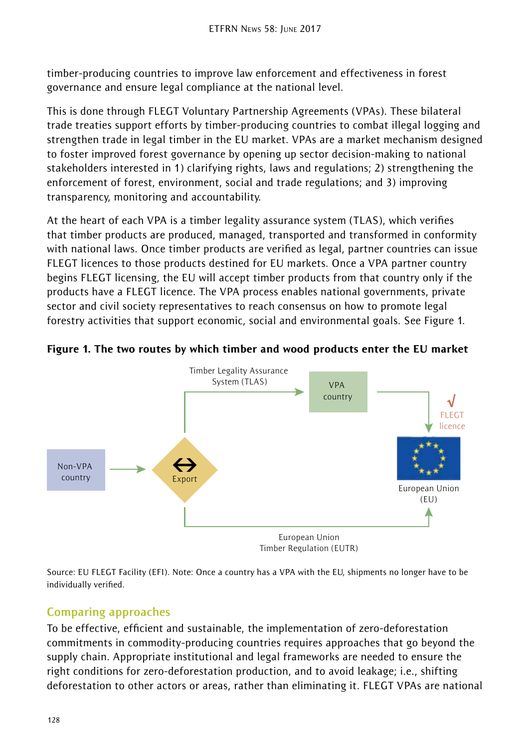timber-producing countries to improve law enforcement and effectiveness in forest governance and ensure legal compliance at the national level.

This is done through FLEGT Voluntary Partnership Agreements (VPAs). These bilateral trade treaties support efforts by timber-producing countries to combat illegal logging and strengthen trade in legal timber in the EU market. VPAs are a market mechanism designed to foster improved forest governance by opening up sector decision-making to national stakeholders interested in 1) clarifying rights, laws and regulations; 2) strengthening the enforcement of forest, environment, social and trade regulations; and 3) improving transparency, monitoring and accountability.

At the heart of each VPA is a timber legality assurance system (TLAS), which verifies that timber products are produced, managed, transported and transformed in conformity with national laws. Once timber products are verified as legal, partner countries can issue FLEGT licences to those products destined for EU markets. Once a VPA partner country begins FLEGT licensing, the EU will accept timber products from that country only if the products have a FLEGT licence. The VPA process enables national governments, private sector and civil society representatives to reach consensus on how to promote legal forestry activities that support economic, social and environmental goals. See Figure 1.





Source: EU FLEGT Facility (EFI). Note: Once a country has a VPA with the EU, shipments no longer have to be individually verified.

# **Comparing approaches**

To be effective, efficient and sustainable, the implementation of zero-deforestation commitments in commodity-producing countries requires approaches that go beyond the supply chain. Appropriate institutional and legal frameworks are needed to ensure the right conditions for zero-deforestation production, and to avoid leakage; i.e., shifting deforestation to other actors or areas, rather than eliminating it. FLEGT VPAs are national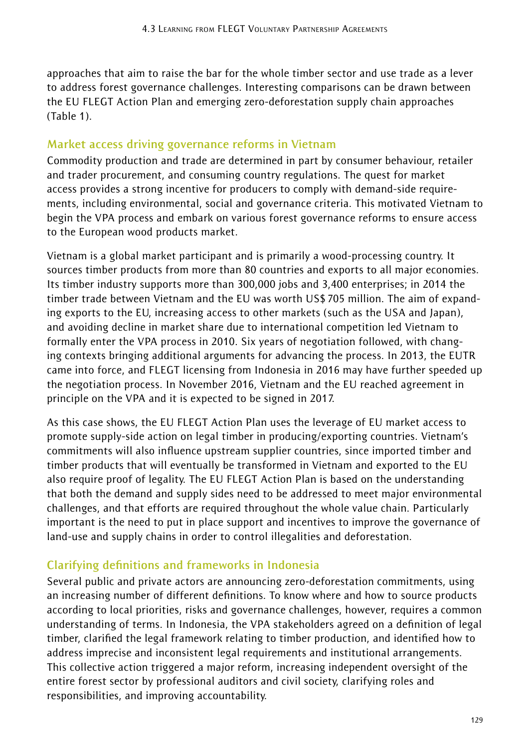approaches that aim to raise the bar for the whole timber sector and use trade as a lever to address forest governance challenges. Interesting comparisons can be drawn between the EU FLEGT Action Plan and emerging zero-deforestation supply chain approaches (Table 1).

#### **Market access driving governance reforms in Vietnam**

Commodity production and trade are determined in part by consumer behaviour, retailer and trader procurement, and consuming country regulations. The quest for market access provides a strong incentive for producers to comply with demand-side requirements, including environmental, social and governance criteria. This motivated Vietnam to begin the VPA process and embark on various forest governance reforms to ensure access to the European wood products market.

Vietnam is a global market participant and is primarily a wood-processing country. It sources timber products from more than 80 countries and exports to all major economies. Its timber industry supports more than 300,000 jobs and 3,400 enterprises; in 2014 the timber trade between Vietnam and the EU was worth US\$705 million. The aim of expanding exports to the EU, increasing access to other markets (such as the USA and Japan), and avoiding decline in market share due to international competition led Vietnam to formally enter the VPA process in 2010. Six years of negotiation followed, with changing contexts bringing additional arguments for advancing the process. In 2013, the EUTR came into force, and FLEGT licensing from Indonesia in 2016 may have further speeded up the negotiation process. In November 2016, Vietnam and the EU reached agreement in principle on the VPA and it is expected to be signed in 2017.

As this case shows, the EU FLEGT Action Plan uses the leverage of EU market access to promote supply-side action on legal timber in producing/exporting countries. Vietnam's commitments will also influence upstream supplier countries, since imported timber and timber products that will eventually be transformed in Vietnam and exported to the EU also require proof of legality. The EU FLEGT Action Plan is based on the understanding that both the demand and supply sides need to be addressed to meet major environmental challenges, and that efforts are required throughout the whole value chain. Particularly important is the need to put in place support and incentives to improve the governance of land-use and supply chains in order to control illegalities and deforestation.

# **Clarifying definitions and frameworks in Indonesia**

Several public and private actors are announcing zero-deforestation commitments, using an increasing number of different definitions. To know where and how to source products according to local priorities, risks and governance challenges, however, requires a common understanding of terms. In Indonesia, the VPA stakeholders agreed on a definition of legal timber, clarified the legal framework relating to timber production, and identified how to address imprecise and inconsistent legal requirements and institutional arrangements. This collective action triggered a major reform, increasing independent oversight of the entire forest sector by professional auditors and civil society, clarifying roles and responsibilities, and improving accountability.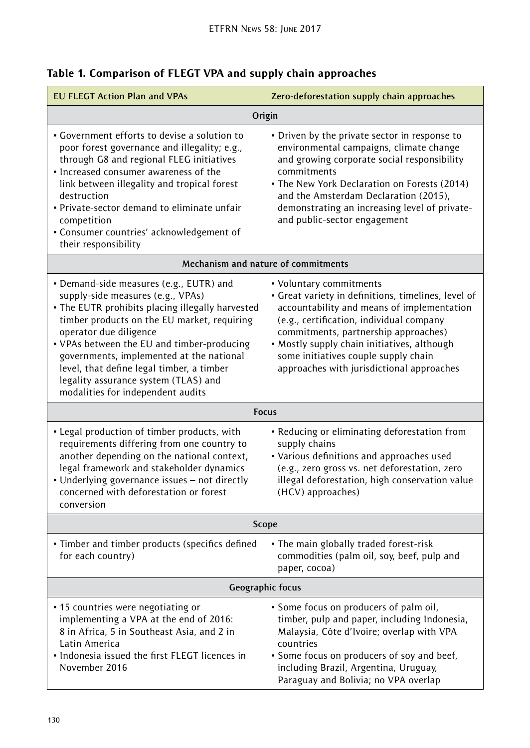| <b>EU FLEGT Action Plan and VPAs</b>                                                                                                                                                                                                                                                                                                                                                                                          | Zero-deforestation supply chain approaches                                                                                                                                                                                                                                                                                                           |
|-------------------------------------------------------------------------------------------------------------------------------------------------------------------------------------------------------------------------------------------------------------------------------------------------------------------------------------------------------------------------------------------------------------------------------|------------------------------------------------------------------------------------------------------------------------------------------------------------------------------------------------------------------------------------------------------------------------------------------------------------------------------------------------------|
| Origin                                                                                                                                                                                                                                                                                                                                                                                                                        |                                                                                                                                                                                                                                                                                                                                                      |
| • Government efforts to devise a solution to<br>poor forest governance and illegality; e.g.,<br>through G8 and regional FLEG initiatives<br>. Increased consumer awareness of the<br>link between illegality and tropical forest<br>destruction<br>. Private-sector demand to eliminate unfair<br>competition<br>• Consumer countries' acknowledgement of<br>their responsibility                                             | • Driven by the private sector in response to<br>environmental campaigns, climate change<br>and growing corporate social responsibility<br>commitments<br>• The New York Declaration on Forests (2014)<br>and the Amsterdam Declaration (2015),<br>demonstrating an increasing level of private-<br>and public-sector engagement                     |
| Mechanism and nature of commitments                                                                                                                                                                                                                                                                                                                                                                                           |                                                                                                                                                                                                                                                                                                                                                      |
| · Demand-side measures (e.g., EUTR) and<br>supply-side measures (e.g., VPAs)<br>. The EUTR prohibits placing illegally harvested<br>timber products on the EU market, requiring<br>operator due diligence<br>. VPAs between the EU and timber-producing<br>governments, implemented at the national<br>level, that define legal timber, a timber<br>legality assurance system (TLAS) and<br>modalities for independent audits | • Voluntary commitments<br>• Great variety in definitions, timelines, level of<br>accountability and means of implementation<br>(e.g., certification, individual company<br>commitments, partnership approaches)<br>• Mostly supply chain initiatives, although<br>some initiatives couple supply chain<br>approaches with jurisdictional approaches |
| <b>Focus</b>                                                                                                                                                                                                                                                                                                                                                                                                                  |                                                                                                                                                                                                                                                                                                                                                      |
| • Legal production of timber products, with<br>requirements differing from one country to<br>another depending on the national context,<br>legal framework and stakeholder dynamics<br>• Underlying governance issues - not directly<br>concerned with deforestation or forest<br>conversion                                                                                                                                  | • Reducing or eliminating deforestation from<br>supply chains<br>• Various definitions and approaches used<br>(e.g., zero gross vs. net deforestation, zero<br>illegal deforestation, high conservation value<br>(HCV) approaches)                                                                                                                   |
| Scope                                                                                                                                                                                                                                                                                                                                                                                                                         |                                                                                                                                                                                                                                                                                                                                                      |
| · Timber and timber products (specifics defined<br>for each country)                                                                                                                                                                                                                                                                                                                                                          | . The main globally traded forest-risk<br>commodities (palm oil, soy, beef, pulp and<br>paper, cocoa)                                                                                                                                                                                                                                                |
| Geographic focus                                                                                                                                                                                                                                                                                                                                                                                                              |                                                                                                                                                                                                                                                                                                                                                      |
| • 15 countries were negotiating or<br>implementing a VPA at the end of 2016:<br>8 in Africa, 5 in Southeast Asia, and 2 in<br>Latin America<br>• Indonesia issued the first FLEGT licences in<br>November 2016                                                                                                                                                                                                                | • Some focus on producers of palm oil,<br>timber, pulp and paper, including Indonesia,<br>Malaysia, Côte d'Ivoire; overlap with VPA<br>countries<br>• Some focus on producers of soy and beef,<br>including Brazil, Argentina, Uruguay,<br>Paraguay and Bolivia; no VPA overlap                                                                      |

# Table 1. Comparison of FLEGT VPA and supply chain approaches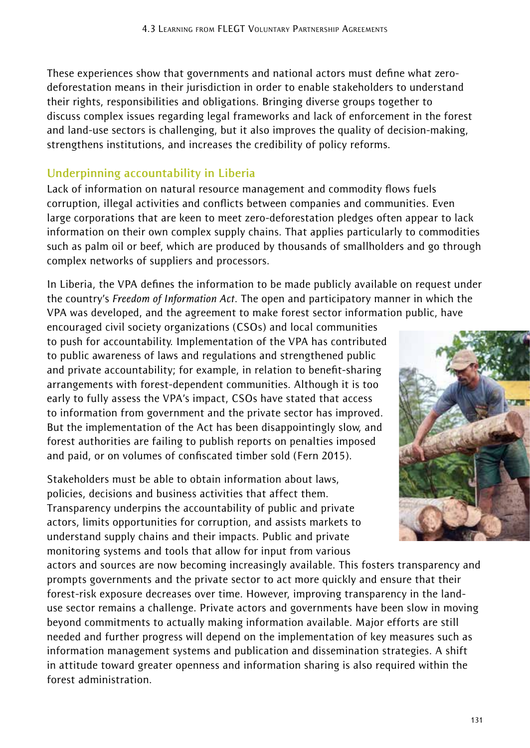These experiences show that governments and national actors must define what zerodeforestation means in their jurisdiction in order to enable stakeholders to understand their rights, responsibilities and obligations. Bringing diverse groups together to discuss complex issues regarding legal frameworks and lack of enforcement in the forest and land-use sectors is challenging, but it also improves the quality of decision-making, strengthens institutions, and increases the credibility of policy reforms.

# **Underpinning accountability in Liberia**

Lack of information on natural resource management and commodity flows fuels corruption, illegal activities and conflicts between companies and communities. Even large corporations that are keen to meet zero-deforestation pledges often appear to lack information on their own complex supply chains. That applies particularly to commodities such as palm oil or beef, which are produced by thousands of smallholders and go through complex networks of suppliers and processors.

In Liberia, the VPA defines the information to be made publicly available on request under the country's *Freedom of Information Act*. The open and participatory manner in which the VPA was developed, and the agreement to make forest sector information public, have

encouraged civil society organizations (CSOs) and local communities to push for accountability. Implementation of the VPA has contributed to public awareness of laws and regulations and strengthened public and private accountability; for example, in relation to benefit-sharing arrangements with forest-dependent communities. Although it is too early to fully assess the VPA's impact, CSOs have stated that access to information from government and the private sector has improved. But the implementation of the Act has been disappointingly slow, and forest authorities are failing to publish reports on penalties imposed and paid, or on volumes of confiscated timber sold (Fern 2015).

Stakeholders must be able to obtain information about laws, policies, decisions and business activities that affect them. Transparency underpins the accountability of public and private actors, limits opportunities for corruption, and assists markets to understand supply chains and their impacts. Public and private monitoring systems and tools that allow for input from various

actors and sources are now becoming increasingly available. This fosters transparency and prompts governments and the private sector to act more quickly and ensure that their forest-risk exposure decreases over time. However, improving transparency in the landuse sector remains a challenge. Private actors and governments have been slow in moving beyond commitments to actually making information available. Major efforts are still needed and further progress will depend on the implementation of key measures such as information management systems and publication and dissemination strategies. A shift in attitude toward greater openness and information sharing is also required within the forest administration.

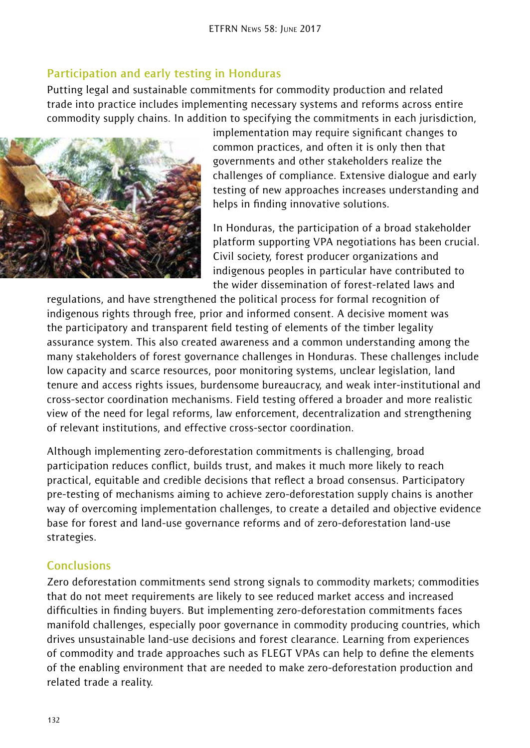# **Participation and early testing in Honduras**

Putting legal and sustainable commitments for commodity production and related trade into practice includes implementing necessary systems and reforms across entire commodity supply chains. In addition to specifying the commitments in each jurisdiction,



implementation may require significant changes to common practices, and often it is only then that governments and other stakeholders realize the challenges of compliance. Extensive dialogue and early testing of new approaches increases understanding and helps in finding innovative solutions.

In Honduras, the participation of a broad stakeholder platform supporting VPA negotiations has been crucial. Civil society, forest producer organizations and indigenous peoples in particular have contributed to the wider dissemination of forest-related laws and

regulations, and have strengthened the political process for formal recognition of indigenous rights through free, prior and informed consent. A decisive moment was the participatory and transparent field testing of elements of the timber legality assurance system. This also created awareness and a common understanding among the many stakeholders of forest governance challenges in Honduras. These challenges include low capacity and scarce resources, poor monitoring systems, unclear legislation, land tenure and access rights issues, burdensome bureaucracy, and weak inter-institutional and cross-sector coordination mechanisms. Field testing offered a broader and more realistic view of the need for legal reforms, law enforcement, decentralization and strengthening of relevant institutions, and effective cross-sector coordination.

Although implementing zero-deforestation commitments is challenging, broad participation reduces conflict, builds trust, and makes it much more likely to reach practical, equitable and credible decisions that reflect a broad consensus. Participatory pre-testing of mechanisms aiming to achieve zero-deforestation supply chains is another way of overcoming implementation challenges, to create a detailed and objective evidence base for forest and land-use governance reforms and of zero-deforestation land-use strategies.

# **Conclusions**

Zero deforestation commitments send strong signals to commodity markets; commodities that do not meet requirements are likely to see reduced market access and increased difficulties in finding buyers. But implementing zero-deforestation commitments faces manifold challenges, especially poor governance in commodity producing countries, which drives unsustainable land-use decisions and forest clearance. Learning from experiences of commodity and trade approaches such as FLEGT VPAs can help to define the elements of the enabling environment that are needed to make zero-deforestation production and related trade a reality.